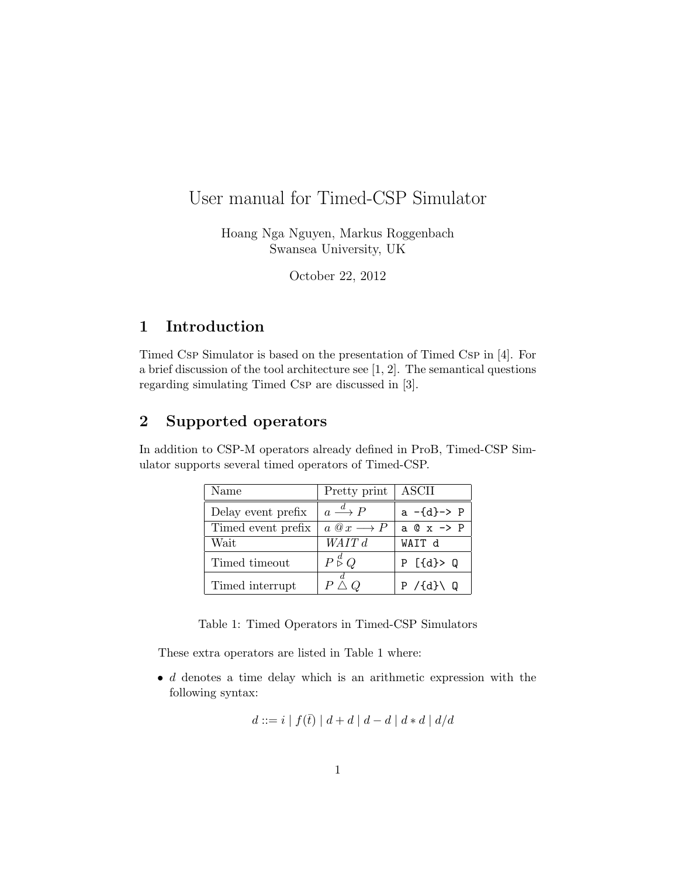# User manual for Timed-CSP Simulator

Hoang Nga Nguyen, Markus Roggenbach Swansea University, UK

October 22, 2012

### 1 Introduction

Timed Csp Simulator is based on the presentation of Timed Csp in [4]. For a brief discussion of the tool architecture see [1, 2]. The semantical questions regarding simulating Timed Csp are discussed in [3].

## 2 Supported operators

In addition to CSP-M operators already defined in ProB, Timed-CSP Simulator supports several timed operators of Timed-CSP.

| Name               | Pretty print                        | ASCII                     |  |
|--------------------|-------------------------------------|---------------------------|--|
| Delay event prefix | $a \stackrel{d}{\longrightarrow} P$ | $a -{d}$ -> P             |  |
| Timed event prefix | $a @ x \longrightarrow P$           | $a \circ x \rightarrow P$ |  |
| Wait               | WAIT d                              | WAIT d                    |  |
| Timed timeout      | $P \overset{d}{\triangleright} Q$   | $P$ [{d}> Q               |  |
| Timed interrupt    | $P \bar{\triangle} Q$               | $P / \{d\} \setminus Q$   |  |

Table 1: Timed Operators in Timed-CSP Simulators

These extra operators are listed in Table 1 where:

 $\bullet$  d denotes a time delay which is an arithmetic expression with the following syntax:

$$
d ::= i | f(\overline{t}) | d + d | d - d | d * d | d/d
$$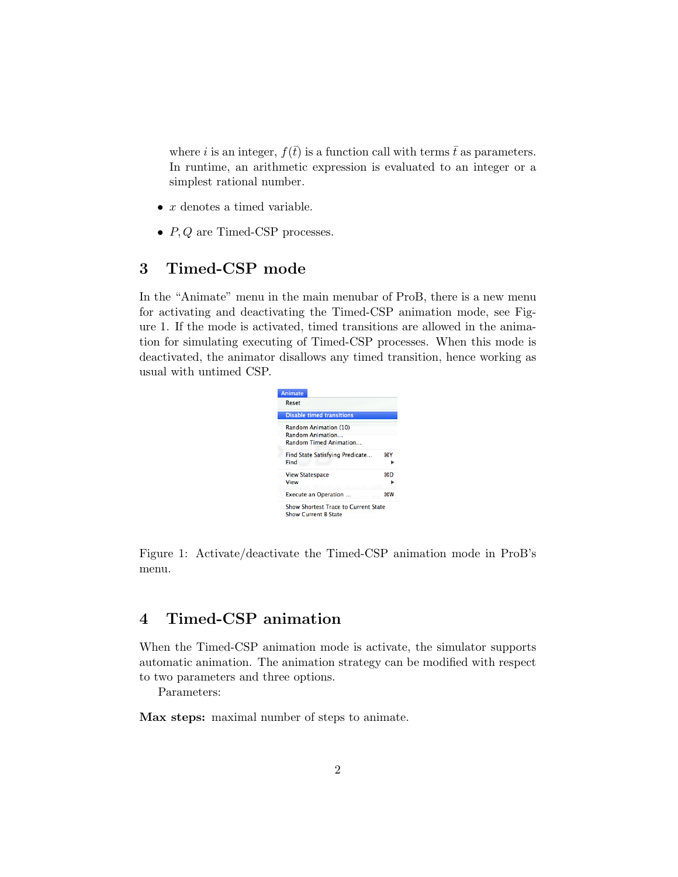where i is an integer,  $f(\bar{t})$  is a function call with terms  $\bar{t}$  as parameters. In runtime, an arithmetic expression is evaluated to an integer or a simplest rational number.

- $\bullet$  *x* denotes a timed variable.
- $P, Q$  are Timed-CSP processes.

## 3 Timed-CSP mode

In the "Animate" menu in the main menubar of ProB, there is a new menu for activating and deactivating the Timed-CSP animation mode, see Figure 1. If the mode is activated, timed transitions are allowed in the animation for simulating executing of Timed-CSP processes. When this mode is deactivated, the animator disallows any timed transition, hence working as usual with untimed CSP.

| Animate                                                                    |           |
|----------------------------------------------------------------------------|-----------|
| Reset                                                                      |           |
| <b>Disable timed transitions</b>                                           |           |
| Random Animation (10)<br>Random Animation<br><b>Random Timed Animation</b> |           |
| Find State Satisfying Predicate<br>Find                                    | жY        |
| <b>View Statespace</b><br>View                                             | жD        |
| <b>Execute an Operation </b>                                               | <b>第W</b> |
| Show Shortest Trace to Current State<br><b>Show Current B State</b>        |           |

Figure 1: Activate/deactivate the Timed-CSP animation mode in ProB's menu.

## 4 Timed-CSP animation

When the Timed-CSP animation mode is activate, the simulator supports automatic animation. The animation strategy can be modified with respect to two parameters and three options.

Parameters:

Max steps: maximal number of steps to animate.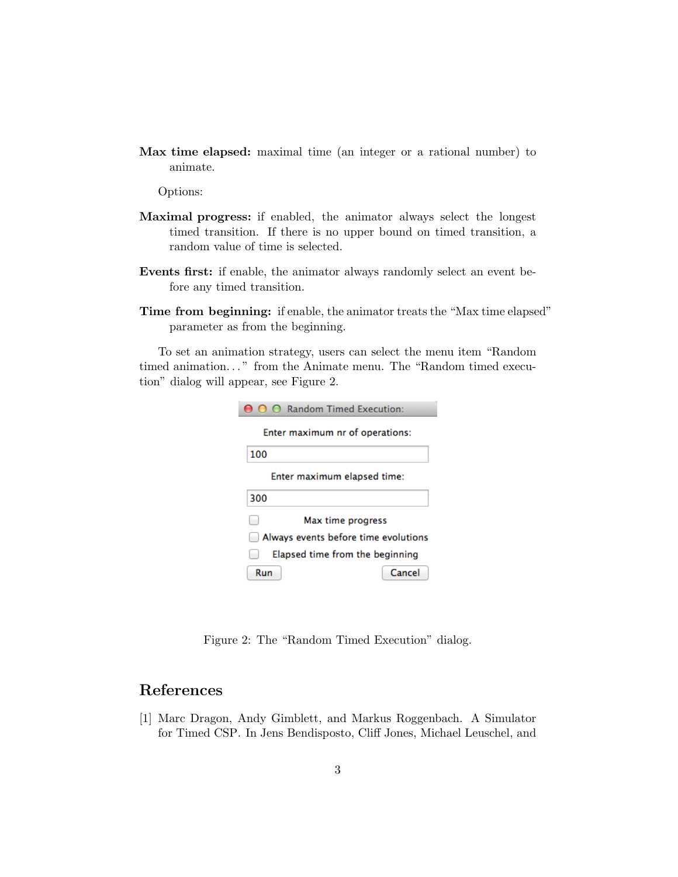Max time elapsed: maximal time (an integer or a rational number) to animate.

Options:

- Maximal progress: if enabled, the animator always select the longest timed transition. If there is no upper bound on timed transition, a random value of time is selected.
- Events first: if enable, the animator always randomly select an event before any timed transition.
- Time from beginning: if enable, the animator treats the "Max time elapsed" parameter as from the beginning.

To set an animation strategy, users can select the menu item "Random timed animation..." from the Animate menu. The "Random timed execution" dialog will appear, see Figure 2.

| ∩ ∩ Random Timed Execution:          |  |
|--------------------------------------|--|
| Enter maximum nr of operations:      |  |
| 100                                  |  |
| Enter maximum elapsed time:          |  |
| 300                                  |  |
| Max time progress                    |  |
| Always events before time evolutions |  |
| Elapsed time from the beginning      |  |
| Cancel<br>Run                        |  |

Figure 2: The "Random Timed Execution" dialog.

#### References

[1] Marc Dragon, Andy Gimblett, and Markus Roggenbach. A Simulator for Timed CSP. In Jens Bendisposto, Cliff Jones, Michael Leuschel, and